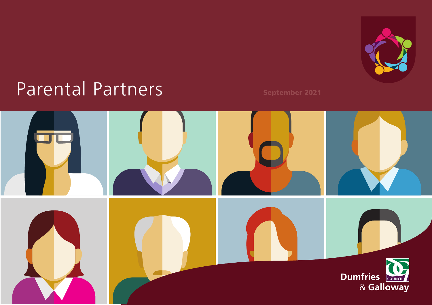

# Parental Partners September 2021

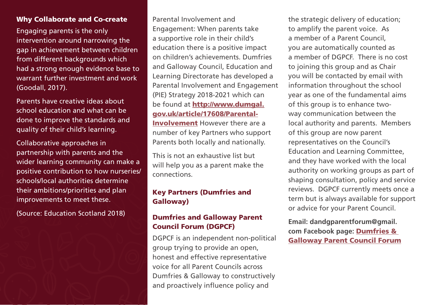#### Why Collaborate and Co-create

Engaging parents is the only intervention around narrowing the gap in achievement between children from different backgrounds which had a strong enough evidence base to warrant further investment and work (Goodall, 2017).

Parents have creative ideas about school education and what can be done to improve the standards and quality of their child's learning.

Collaborative approaches in partnership with parents and the wider learning community can make a positive contribution to how nurseries/ schools/local authorities determine their ambitions/priorities and plan improvements to meet these.

(Source: Education Scotland 2018)

Parental Involvement and Engagement: When parents take a supportive role in their child's education there is a positive impact on children's achievements. Dumfries and Galloway Council, Education and Learning Directorate has developed a Parental Involvement and Engagement (PIE) Strategy 2018-2021 which can be found at [http://www.dumgal.](http://www.dumgal.gov.uk/article/17608/Parental-Involvement) [gov.uk/article/17608/Parental-](http://www.dumgal.gov.uk/article/17608/Parental-Involvement)[Involvement](http://www.dumgal.gov.uk/article/17608/Parental-Involvement) However there are a number of key Partners who support Parents both locally and nationally.

This is not an exhaustive list but will help you as a parent make the connections.

#### Key Partners (Dumfries and Galloway)

### Dumfries and Galloway Parent Council Forum (DGPCF)

DGPCF is an independent non-political group trying to provide an open, honest and effective representative voice for all Parent Councils across Dumfries & Galloway to constructively and proactively infuence policy and

the strategic delivery of education; to amplify the parent voice. As a member of a Parent Council, you are automatically counted as a member of DGPCF. There is no cost to joining this group and as Chair you will be contacted by email with information throughout the school year as one of the fundamental aims of this group is to enhance twoway communication between the local authority and parents. Members of this group are now parent representatives on the Council's Education and Learning Committee, and they have worked with the local authority on working groups as part of shaping consultation, policy and service reviews. DGPCF currently meets once a term but is always available for support or advice for your Parent Council.

**Email: [dandgparentforum@gmail.](mailto:dandgparentforum@gmail.com) [com](mailto:dandgparentforum@gmail.com) Facebook page:** [Dumfries &](https://www.facebook.com/DGPCF/)  [Galloway Parent Council Forum](https://www.facebook.com/DGPCF/)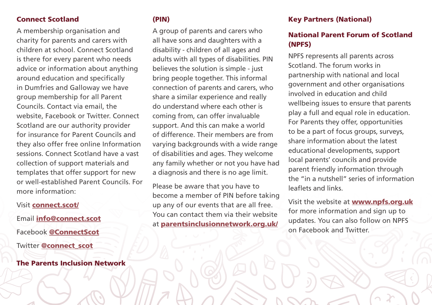#### Connect Scotland

A membership organisation and charity for parents and carers with children at school. Connect Scotland is there for every parent who needs advice or information about anything around education and specifically in Dumfries and Galloway we have group membership for all Parent Councils. Contact via email, the website, Facebook or Twitter. Connect Scotland are our authority provider for insurance for Parent Councils and they also offer free online Information sessions. Connect Scotland have a vast collection of support materials and templates that offer support for new or well-established Parent Councils. For more information:

## Visit [connect.scot/](https://connect.scot/)

Email [info@connect.scot](mailto:info@connect.scot) Facebook [@ConnectScot](https://www.facebook.com/ConnectScot)  Twitter [@connect\\_scot](https://twitter.com/connect_scot?ref_src=twsrc%5Egoogle%7Ctwcamp%5Eserp%7Ctwgr%5Eauthor) 

#### The Parents Inclusion Network

#### (PIN)

*I* 

 of difference. Their members are from A group of parents and carers who all have sons and daughters with a disability - children of all ages and adults with all types of disabilities. PIN believes the solution is simple - just bring people together. This informal connection of parents and carers, who share a similar experience and really do understand where each other is coming from, can offer invaluable support. And this can make a world varying backgrounds with a wide range of disabilities and ages. They welcome any family whether or not you have had a diagnosis and there is no age limit.

Please be aware that you have to become a member of PIN before taking up any of our events that are all free. You can contact them via their website at [parentsinclusionnetwork.org.uk/](https://www.parentsinclusionnetwork.org.uk/) 

#### Key Partners (National)

#### National Parent Forum of Scotland (NPFS)

NPFS represents all parents across Scotland. The forum works in partnership with national and local government and other organisations involved in education and child wellbeing issues to ensure that parents play a full and equal role in education. For Parents they offer, opportunities to be a part of focus groups, surveys, share information about the latest educational developments, support local parents' councils and provide parent friendly information through the "in a nutshell" series of information leaflets and links.

Visit the website at www.[npfs.org.uk](https://www.npfs.org.uk/) for more information and sign up to updates. You can also follow on NPFS on Facebook and Twitter.